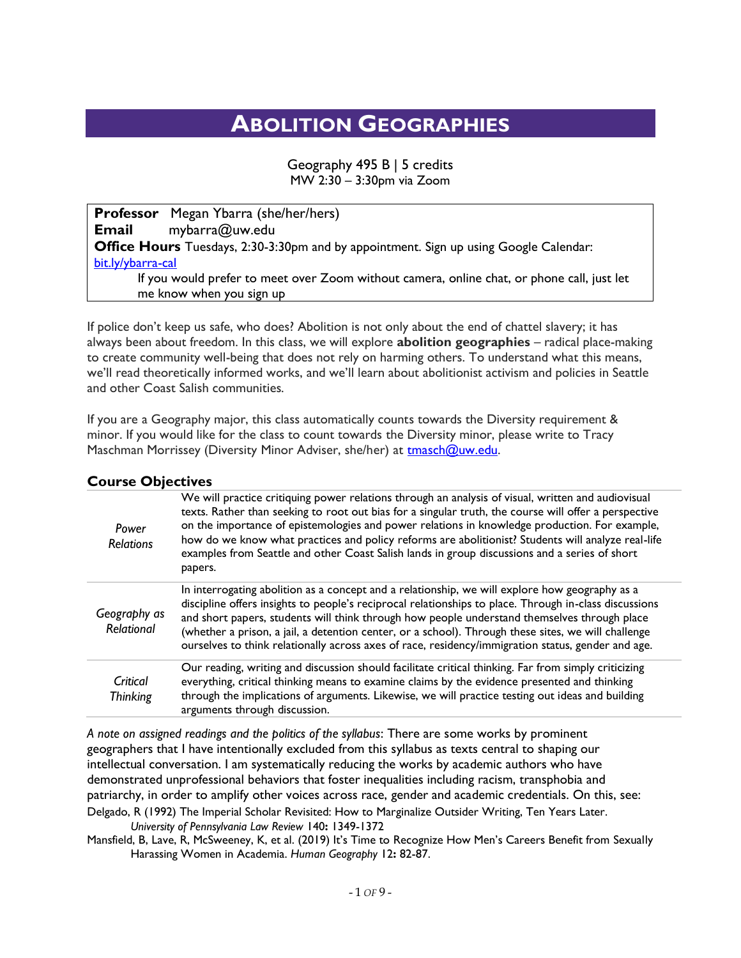## **ABOLITION GEOGRAPHIES**

Geography 495 B | 5 credits MW 2:30 – 3:30pm via Zoom

**Professor** Megan Ybarra (she/her/hers) **Email** mybarra@uw.edu **Office Hours** Tuesdays, 2:30-3:30pm and by appointment. Sign up using Google Calendar: [bit.ly/ybarra-cal](http://bit.ly/ybarra-cal) If you would prefer to meet over Zoom without camera, online chat, or phone call, just let me know when you sign up

If police don't keep us safe, who does? Abolition is not only about the end of chattel slavery; it has always been about freedom. In this class, we will explore **abolition geographies** – radical place-making to create community well-being that does not rely on harming others. To understand what this means, we'll read theoretically informed works, and we'll learn about abolitionist activism and policies in Seattle and other Coast Salish communities.

If you are a Geography major, this class automatically counts towards the Diversity requirement & minor. If you would like for the class to count towards the Diversity minor, please write to Tracy Maschman Morrissey (Diversity Minor Adviser, she/her) at [tmasch@uw.edu.](mailto:tmasch@uw.edu)

| Power<br><b>Relations</b>  | We will practice critiquing power relations through an analysis of visual, written and audiovisual<br>texts. Rather than seeking to root out bias for a singular truth, the course will offer a perspective<br>on the importance of epistemologies and power relations in knowledge production. For example,<br>how do we know what practices and policy reforms are abolitionist? Students will analyze real-life<br>examples from Seattle and other Coast Salish lands in group discussions and a series of short<br>papers. |
|----------------------------|--------------------------------------------------------------------------------------------------------------------------------------------------------------------------------------------------------------------------------------------------------------------------------------------------------------------------------------------------------------------------------------------------------------------------------------------------------------------------------------------------------------------------------|
| Geography as<br>Relational | In interrogating abolition as a concept and a relationship, we will explore how geography as a<br>discipline offers insights to people's reciprocal relationships to place. Through in-class discussions<br>and short papers, students will think through how people understand themselves through place<br>(whether a prison, a jail, a detention center, or a school). Through these sites, we will challenge<br>ourselves to think relationally across axes of race, residency/immigration status, gender and age.          |
| Critical<br>Thinking       | Our reading, writing and discussion should facilitate critical thinking. Far from simply criticizing<br>everything, critical thinking means to examine claims by the evidence presented and thinking<br>through the implications of arguments. Likewise, we will practice testing out ideas and building<br>arguments through discussion.                                                                                                                                                                                      |

**Course Objectives**

*A note on assigned readings and the politics of the syllabus*: There are some works by prominent geographers that I have intentionally excluded from this syllabus as texts central to shaping our intellectual conversation. I am systematically reducing the works by academic authors who have demonstrated unprofessional behaviors that foster inequalities including racism, transphobia and patriarchy, in order to amplify other voices across race, gender and academic credentials. On this, see: Delgado, R (1992) The Imperial Scholar Revisited: How to Marginalize Outsider Writing, Ten Years Later. *University of Pennsylvania Law Review* 140**:** 1349-1372

Mansfield, B, Lave, R, McSweeney, K, et al. (2019) It's Time to Recognize How Men's Careers Benefit from Sexually Harassing Women in Academia. *Human Geography* 12**:** 82-87.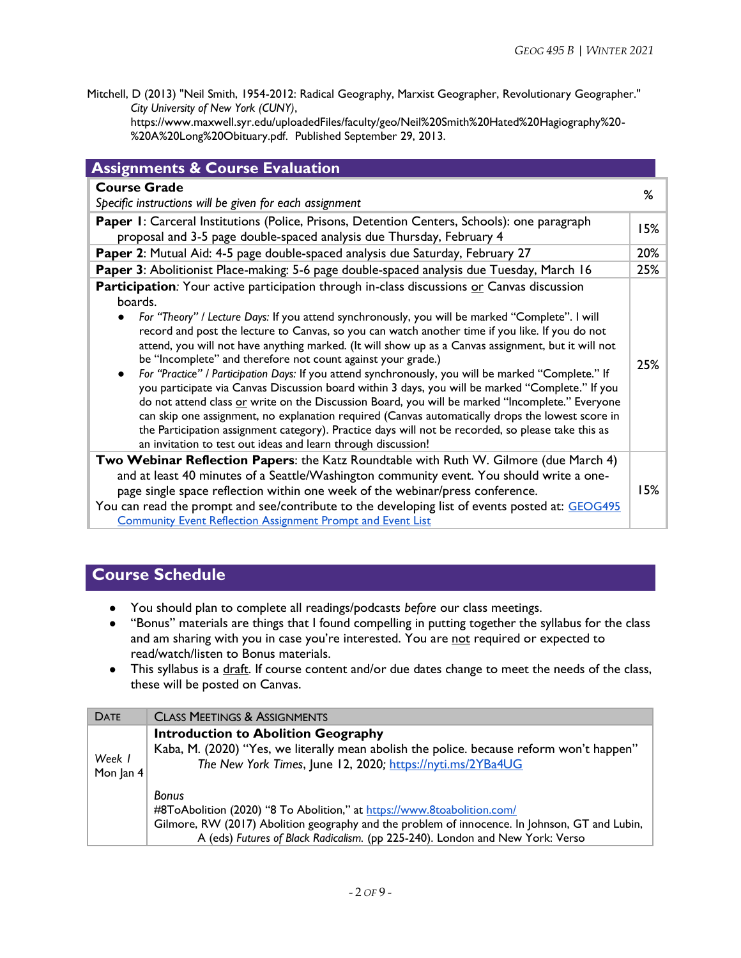Mitchell, D (2013) "Neil Smith, 1954-2012: Radical Geography, Marxist Geographer, Revolutionary Geographer." *City University of New York (CUNY)*,

[https://www.maxwell.syr.edu/uploadedFiles/faculty/geo/Neil%20Smith%20Hated%20Hagiography%20-](https://www.maxwell.syr.edu/uploadedFiles/faculty/geo/Neil%20Smith%20Hated%20Hagiography%20-%20A%20Long%20Obituary.pdf.) [%20A%20Long%20Obituary.pdf.](https://www.maxwell.syr.edu/uploadedFiles/faculty/geo/Neil%20Smith%20Hated%20Hagiography%20-%20A%20Long%20Obituary.pdf.) Published September 29, 2013.

| <b>Assignments &amp; Course Evaluation</b>                                                                                                                                                                                                                                                                                                                                                                                                                                                                                                                                                                                                                                                                                                                                                                                                                                                                                                                                                                                                                                                                    |     |
|---------------------------------------------------------------------------------------------------------------------------------------------------------------------------------------------------------------------------------------------------------------------------------------------------------------------------------------------------------------------------------------------------------------------------------------------------------------------------------------------------------------------------------------------------------------------------------------------------------------------------------------------------------------------------------------------------------------------------------------------------------------------------------------------------------------------------------------------------------------------------------------------------------------------------------------------------------------------------------------------------------------------------------------------------------------------------------------------------------------|-----|
| <b>Course Grade</b><br>Specific instructions will be given for each assignment                                                                                                                                                                                                                                                                                                                                                                                                                                                                                                                                                                                                                                                                                                                                                                                                                                                                                                                                                                                                                                | %   |
| Paper 1: Carceral Institutions (Police, Prisons, Detention Centers, Schools): one paragraph<br>proposal and 3-5 page double-spaced analysis due Thursday, February 4                                                                                                                                                                                                                                                                                                                                                                                                                                                                                                                                                                                                                                                                                                                                                                                                                                                                                                                                          |     |
| Paper 2: Mutual Aid: 4-5 page double-spaced analysis due Saturday, February 27                                                                                                                                                                                                                                                                                                                                                                                                                                                                                                                                                                                                                                                                                                                                                                                                                                                                                                                                                                                                                                | 20% |
| Paper 3: Abolitionist Place-making: 5-6 page double-spaced analysis due Tuesday, March 16                                                                                                                                                                                                                                                                                                                                                                                                                                                                                                                                                                                                                                                                                                                                                                                                                                                                                                                                                                                                                     | 25% |
| <b>Participation</b> : Your active participation through in-class discussions or Canvas discussion<br>boards.<br>For "Theory" / Lecture Days: If you attend synchronously, you will be marked "Complete". I will<br>$\bullet$<br>record and post the lecture to Canvas, so you can watch another time if you like. If you do not<br>attend, you will not have anything marked. (It will show up as a Canvas assignment, but it will not<br>be "Incomplete" and therefore not count against your grade.)<br>For "Practice" / Participation Days: If you attend synchronously, you will be marked "Complete." If<br>$\bullet$<br>you participate via Canvas Discussion board within 3 days, you will be marked "Complete." If you<br>do not attend class or write on the Discussion Board, you will be marked "Incomplete." Everyone<br>can skip one assignment, no explanation required (Canvas automatically drops the lowest score in<br>the Participation assignment category). Practice days will not be recorded, so please take this as<br>an invitation to test out ideas and learn through discussion! | 25% |
| <b>Two Webinar Reflection Papers:</b> the Katz Roundtable with Ruth W. Gilmore (due March 4)<br>and at least 40 minutes of a Seattle/Washington community event. You should write a one-<br>page single space reflection within one week of the webinar/press conference.<br>You can read the prompt and see/contribute to the developing list of events posted at: GEOG495<br><b>Community Event Reflection Assignment Prompt and Event List</b>                                                                                                                                                                                                                                                                                                                                                                                                                                                                                                                                                                                                                                                             |     |

## **Course Schedule**

- You should plan to complete all readings/podcasts *before* our class meetings.
- "Bonus" materials are things that I found compelling in putting together the syllabus for the class and am sharing with you in case you're interested. You are not required or expected to read/watch/listen to Bonus materials.
- This syllabus is a draft. If course content and/or due dates change to meet the needs of the class, these will be posted on Canvas.

| <b>DATE</b>         | <b>CLASS MEETINGS &amp; ASSIGNMENTS</b>                                                                                                                                                                                                                                    |
|---------------------|----------------------------------------------------------------------------------------------------------------------------------------------------------------------------------------------------------------------------------------------------------------------------|
| Week 1<br>Mon Jan 4 | <b>Introduction to Abolition Geography</b><br>Kaba, M. (2020) "Yes, we literally mean abolish the police. because reform won't happen"<br>The New York Times, June 12, 2020; https://nyti.ms/2YBa4UG                                                                       |
|                     | <b>Bonus</b><br>#8ToAbolition (2020) "8 To Abolition," at https://www.8toabolition.com/<br>Gilmore, RW (2017) Abolition geography and the problem of innocence. In Johnson, GT and Lubin,<br>A (eds) Futures of Black Radicalism. (pp 225-240). London and New York: Verso |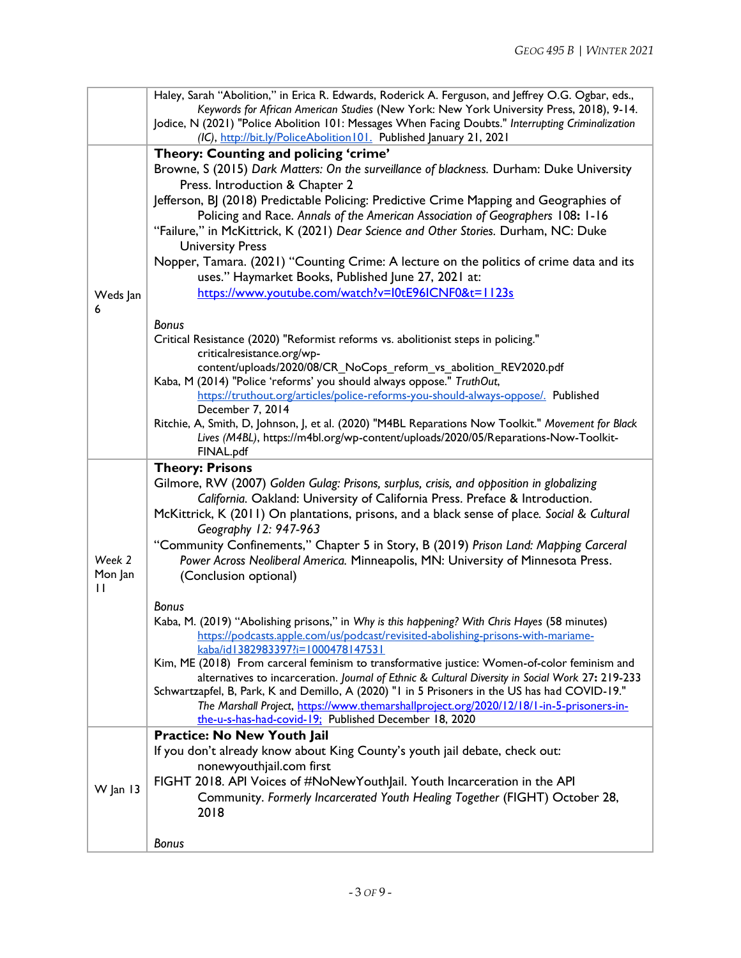|              | Haley, Sarah "Abolition," in Erica R. Edwards, Roderick A. Ferguson, and Jeffrey O.G. Ogbar, eds.,                                                                                             |
|--------------|------------------------------------------------------------------------------------------------------------------------------------------------------------------------------------------------|
|              | Keywords for African American Studies (New York: New York University Press, 2018), 9-14.<br>Jodice, N (2021) "Police Abolition 101: Messages When Facing Doubts." Interrupting Criminalization |
|              | (IC), http://bit.ly/PoliceAbolition 101. Published January 21, 2021                                                                                                                            |
|              | Theory: Counting and policing 'crime'                                                                                                                                                          |
|              | Browne, S (2015) Dark Matters: On the surveillance of blackness. Durham: Duke University                                                                                                       |
|              | Press. Introduction & Chapter 2                                                                                                                                                                |
|              | Jefferson, BJ (2018) Predictable Policing: Predictive Crime Mapping and Geographies of                                                                                                         |
|              | Policing and Race. Annals of the American Association of Geographers 108: 1-16                                                                                                                 |
|              | "Failure," in McKittrick, K (2021) Dear Science and Other Stories. Durham, NC: Duke                                                                                                            |
|              | <b>University Press</b>                                                                                                                                                                        |
|              | Nopper, Tamara. (2021) "Counting Crime: A lecture on the politics of crime data and its                                                                                                        |
|              | uses." Haymarket Books, Published June 27, 2021 at:                                                                                                                                            |
| Weds Jan     | https://www.youtube.com/watch?v=I0tE96ICNF0&t=1123s                                                                                                                                            |
| 6            | <b>Bonus</b>                                                                                                                                                                                   |
|              | Critical Resistance (2020) "Reformist reforms vs. abolitionist steps in policing."                                                                                                             |
|              | criticalresistance.org/wp-                                                                                                                                                                     |
|              | content/uploads/2020/08/CR NoCops reform vs abolition REV2020.pdf                                                                                                                              |
|              | Kaba, M (2014) "Police 'reforms' you should always oppose." TruthOut,                                                                                                                          |
|              | https://truthout.org/articles/police-reforms-you-should-always-oppose/. Published<br>December 7, 2014                                                                                          |
|              | Ritchie, A, Smith, D, Johnson, J, et al. (2020) "M4BL Reparations Now Toolkit." Movement for Black                                                                                             |
|              | Lives (M4BL), https://m4bl.org/wp-content/uploads/2020/05/Reparations-Now-Toolkit-                                                                                                             |
|              | FINAL.pdf                                                                                                                                                                                      |
|              | <b>Theory: Prisons</b>                                                                                                                                                                         |
|              | Gilmore, RW (2007) Golden Gulag: Prisons, surplus, crisis, and opposition in globalizing                                                                                                       |
|              | California. Oakland: University of California Press. Preface & Introduction.<br>McKittrick, K (2011) On plantations, prisons, and a black sense of place. Social & Cultural                    |
|              | Geography 12: 947-963                                                                                                                                                                          |
|              | "Community Confinements," Chapter 5 in Story, B (2019) Prison Land: Mapping Carceral                                                                                                           |
| Week 2       | Power Across Neoliberal America. Minneapolis, MN: University of Minnesota Press.                                                                                                               |
| Mon Jan      | (Conclusion optional)                                                                                                                                                                          |
| $\mathbf{H}$ |                                                                                                                                                                                                |
|              | <b>Bonus</b>                                                                                                                                                                                   |
|              | Kaba, M. (2019) "Abolishing prisons," in Why is this happening? With Chris Hayes (58 minutes)                                                                                                  |
|              | https://podcasts.apple.com/us/podcast/revisited-abolishing-prisons-with-mariame-<br>kaba/id1382983397?i=1000478147531                                                                          |
|              | Kim, ME (2018) From carceral feminism to transformative justice: Women-of-color feminism and                                                                                                   |
|              | alternatives to incarceration. Journal of Ethnic & Cultural Diversity in Social Work 27: 219-233                                                                                               |
|              | Schwartzapfel, B, Park, K and Demillo, A (2020) "I in 5 Prisoners in the US has had COVID-19."                                                                                                 |
|              | The Marshall Project, https://www.themarshallproject.org/2020/12/18/1-in-5-prisoners-in-<br>the-u-s-has-had-covid-19; Published December 18, 2020                                              |
|              | Practice: No New Youth Jail                                                                                                                                                                    |
|              | If you don't already know about King County's youth jail debate, check out:                                                                                                                    |
| $W$ Jan 13   | nonewyouthjail.com first                                                                                                                                                                       |
|              | FIGHT 2018. API Voices of #NoNewYouthJail. Youth Incarceration in the API                                                                                                                      |
|              | Community. Formerly Incarcerated Youth Healing Together (FIGHT) October 28,                                                                                                                    |
|              | 2018                                                                                                                                                                                           |
|              | <b>Bonus</b>                                                                                                                                                                                   |
|              |                                                                                                                                                                                                |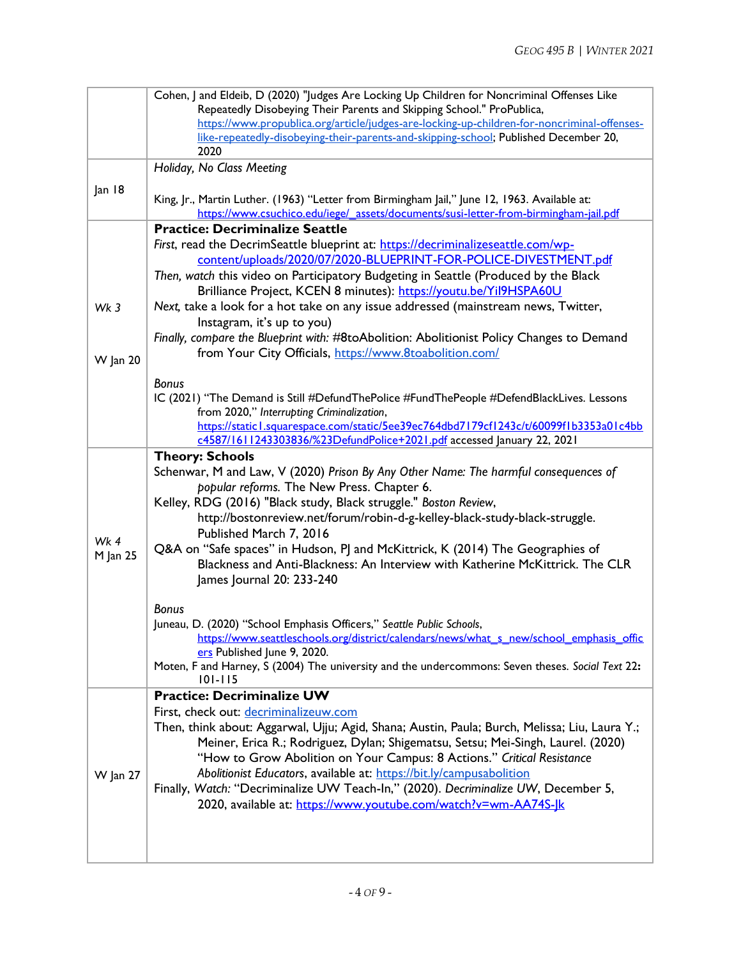|                 | Cohen, J and Eldeib, D (2020) "Judges Are Locking Up Children for Noncriminal Offenses Like                                        |
|-----------------|------------------------------------------------------------------------------------------------------------------------------------|
|                 | Repeatedly Disobeying Their Parents and Skipping School." ProPublica,                                                              |
|                 | https://www.propublica.org/article/judges-are-locking-up-children-for-noncriminal-offenses-                                        |
|                 | like-repeatedly-disobeying-their-parents-and-skipping-school; Published December 20,<br>2020                                       |
|                 |                                                                                                                                    |
|                 | Holiday, No Class Meeting                                                                                                          |
| Jan 18          |                                                                                                                                    |
|                 | King, Jr., Martin Luther. (1963) "Letter from Birmingham Jail," June 12, 1963. Available at:                                       |
|                 | https://www.csuchico.edu/iege/_assets/documents/susi-letter-from-birmingham-jail.pdf                                               |
|                 | <b>Practice: Decriminalize Seattle</b>                                                                                             |
|                 | First, read the DecrimSeattle blueprint at: https://decriminalizeseattle.com/wp-                                                   |
|                 | content/uploads/2020/07/2020-BLUEPRINT-FOR-POLICE-DIVESTMENT.pdf                                                                   |
|                 | Then, watch this video on Participatory Budgeting in Seattle (Produced by the Black                                                |
|                 | Brilliance Project, KCEN 8 minutes): https://youtu.be/Yil9HSPA60U                                                                  |
| Wk <sub>3</sub> | Next, take a look for a hot take on any issue addressed (mainstream news, Twitter,                                                 |
|                 | Instagram, it's up to you)                                                                                                         |
|                 | Finally, compare the Blueprint with: #8toAbolition: Abolitionist Policy Changes to Demand                                          |
| <b>W</b> Jan 20 | from Your City Officials, https://www.8toabolition.com/                                                                            |
|                 |                                                                                                                                    |
|                 | <b>Bonus</b>                                                                                                                       |
|                 | IC (2021) "The Demand is Still #DefundThePolice #FundThePeople #DefendBlackLives. Lessons                                          |
|                 | from 2020," Interrupting Criminalization,<br>https://static1.squarespace.com/static/5ee39ec764dbd7179cf1243c/t/60099f1b3353a01c4bb |
|                 | c4587/1611243303836/%23DefundPolice+2021.pdf accessed January 22, 2021                                                             |
|                 | <b>Theory: Schools</b>                                                                                                             |
|                 | Schenwar, M and Law, V (2020) Prison By Any Other Name: The harmful consequences of                                                |
|                 | popular reforms. The New Press. Chapter 6.                                                                                         |
|                 | Kelley, RDG (2016) "Black study, Black struggle." Boston Review,                                                                   |
|                 | http://bostonreview.net/forum/robin-d-g-kelley-black-study-black-struggle.                                                         |
|                 | Published March 7, 2016                                                                                                            |
| Wk 4            | Q&A on "Safe spaces" in Hudson, PJ and McKittrick, K (2014) The Geographies of                                                     |
| M Jan 25        | Blackness and Anti-Blackness: An Interview with Katherine McKittrick. The CLR                                                      |
|                 | James Journal 20: 233-240                                                                                                          |
|                 |                                                                                                                                    |
|                 | <b>Bonus</b>                                                                                                                       |
|                 | Juneau, D. (2020) "School Emphasis Officers," Seattle Public Schools,                                                              |
|                 | https://www.seattleschools.org/district/calendars/news/what s new/school emphasis offic                                            |
|                 | ers Published June 9, 2020.                                                                                                        |
|                 | Moten, F and Harney, S (2004) The university and the undercommons: Seven theses. Social Text 22:                                   |
|                 | $101 - 115$                                                                                                                        |
|                 | <b>Practice: Decriminalize UW</b>                                                                                                  |
|                 | First, check out: decriminalizeuw.com                                                                                              |
|                 | Then, think about: Aggarwal, Ujju; Agid, Shana; Austin, Paula; Burch, Melissa; Liu, Laura Y.;                                      |
|                 | Meiner, Erica R.; Rodriguez, Dylan; Shigematsu, Setsu; Mei-Singh, Laurel. (2020)                                                   |
|                 | "How to Grow Abolition on Your Campus: 8 Actions." Critical Resistance                                                             |
| <b>W</b> Jan 27 | Abolitionist Educators, available at: https://bit.ly/campusabolition                                                               |
|                 | Finally, Watch: "Decriminalize UW Teach-In," (2020). Decriminalize UW, December 5,                                                 |
|                 | 2020, available at: https://www.youtube.com/watch?v=wm-AA74S-Jk                                                                    |
|                 |                                                                                                                                    |
|                 |                                                                                                                                    |
|                 |                                                                                                                                    |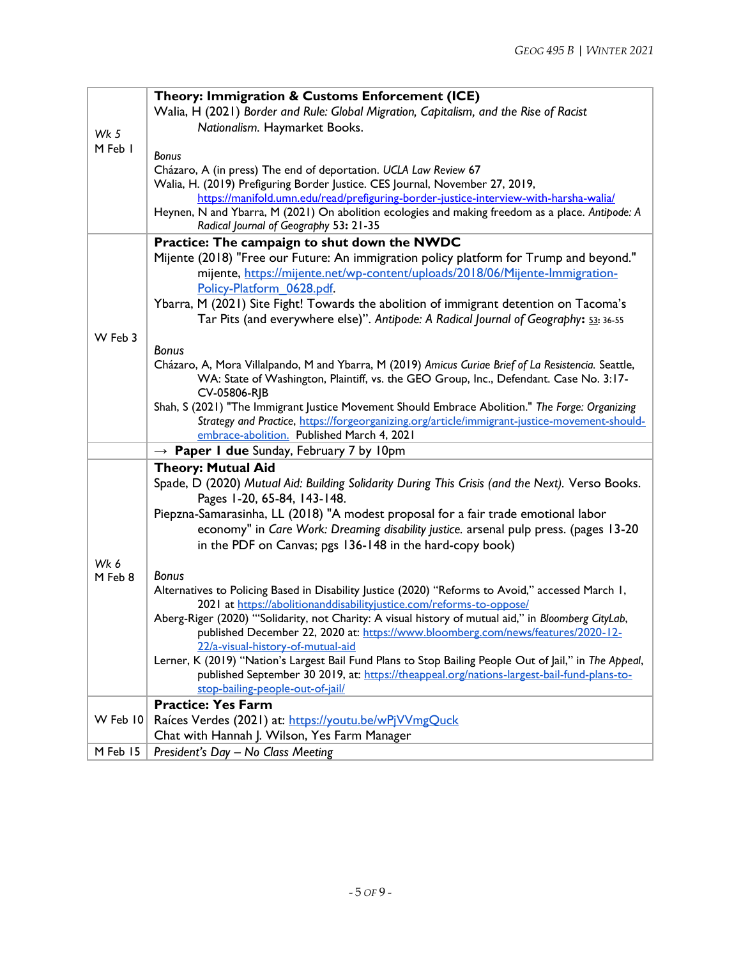|          | Theory: Immigration & Customs Enforcement (ICE)                                                                                            |
|----------|--------------------------------------------------------------------------------------------------------------------------------------------|
|          | Walia, H (2021) Border and Rule: Global Migration, Capitalism, and the Rise of Racist                                                      |
| Wk 5     | Nationalism. Haymarket Books.                                                                                                              |
| M Feb I  |                                                                                                                                            |
|          | <b>Bonus</b>                                                                                                                               |
|          | Cházaro, A (in press) The end of deportation. UCLA Law Review 67                                                                           |
|          | Walia, H. (2019) Prefiguring Border Justice. CES Journal, November 27, 2019,                                                               |
|          | https://manifold.umn.edu/read/prefiguring-border-justice-interview-with-harsha-walia/                                                      |
|          | Heynen, N and Ybarra, M (2021) On abolition ecologies and making freedom as a place. Antipode: A<br>Radical Journal of Geography 53: 21-35 |
|          | Practice: The campaign to shut down the NWDC                                                                                               |
|          | Mijente (2018) "Free our Future: An immigration policy platform for Trump and beyond."                                                     |
|          | mijente, https://mijente.net/wp-content/uploads/2018/06/Mijente-Immigration-                                                               |
|          | Policy-Platform 0628.pdf.                                                                                                                  |
|          | Ybarra, M (2021) Site Fight! Towards the abolition of immigrant detention on Tacoma's                                                      |
|          | Tar Pits (and everywhere else)". Antipode: A Radical Journal of Geography: 53: 36-55                                                       |
| W Feb 3  |                                                                                                                                            |
|          | <b>Bonus</b>                                                                                                                               |
|          | Cházaro, A, Mora Villalpando, M and Ybarra, M (2019) Amicus Curiae Brief of La Resistencia. Seattle,                                       |
|          | WA: State of Washington, Plaintiff, vs. the GEO Group, Inc., Defendant. Case No. 3:17-                                                     |
|          | CV-05806-RJB                                                                                                                               |
|          | Shah, S (2021) "The Immigrant Justice Movement Should Embrace Abolition." The Forge: Organizing                                            |
|          | Strategy and Practice, https://forgeorganizing.org/article/immigrant-justice-movement-should-                                              |
|          | embrace-abolition. Published March 4, 2021                                                                                                 |
|          | $\rightarrow$ Paper I due Sunday, February 7 by 10pm                                                                                       |
|          | <b>Theory: Mutual Aid</b>                                                                                                                  |
|          | Spade, D (2020) Mutual Aid: Building Solidarity During This Crisis (and the Next). Verso Books.                                            |
|          | Pages 1-20, 65-84, 143-148.                                                                                                                |
|          | Piepzna-Samarasinha, LL (2018) "A modest proposal for a fair trade emotional labor                                                         |
|          | economy" in Care Work: Dreaming disability justice. arsenal pulp press. (pages 13-20                                                       |
|          | in the PDF on Canvas; pgs 136-148 in the hard-copy book)                                                                                   |
| Wk 6     |                                                                                                                                            |
| M Feb 8  | <b>Bonus</b>                                                                                                                               |
|          | Alternatives to Policing Based in Disability Justice (2020) "Reforms to Avoid," accessed March 1,                                          |
|          | 2021 at https://abolitionanddisabilityjustice.com/reforms-to-oppose/                                                                       |
|          | Aberg-Riger (2020) "'Solidarity, not Charity: A visual history of mutual aid," in Bloomberg CityLab,                                       |
|          | published December 22, 2020 at: https://www.bloomberg.com/news/features/2020-12-                                                           |
|          | 22/a-visual-history-of-mutual-aid                                                                                                          |
|          | Lerner, K (2019) "Nation's Largest Bail Fund Plans to Stop Bailing People Out of Jail," in The Appeal,                                     |
|          | published September 30 2019, at: https://theappeal.org/nations-largest-bail-fund-plans-to-<br>stop-bailing-people-out-of-jail/             |
|          | <b>Practice: Yes Farm</b>                                                                                                                  |
| W Feb 10 |                                                                                                                                            |
|          | Raíces Verdes (2021) at: https://youtu.be/wPjVVmgQuck                                                                                      |
|          | Chat with Hannah J. Wilson, Yes Farm Manager                                                                                               |
| M Feb 15 | President's Day - No Class Meeting                                                                                                         |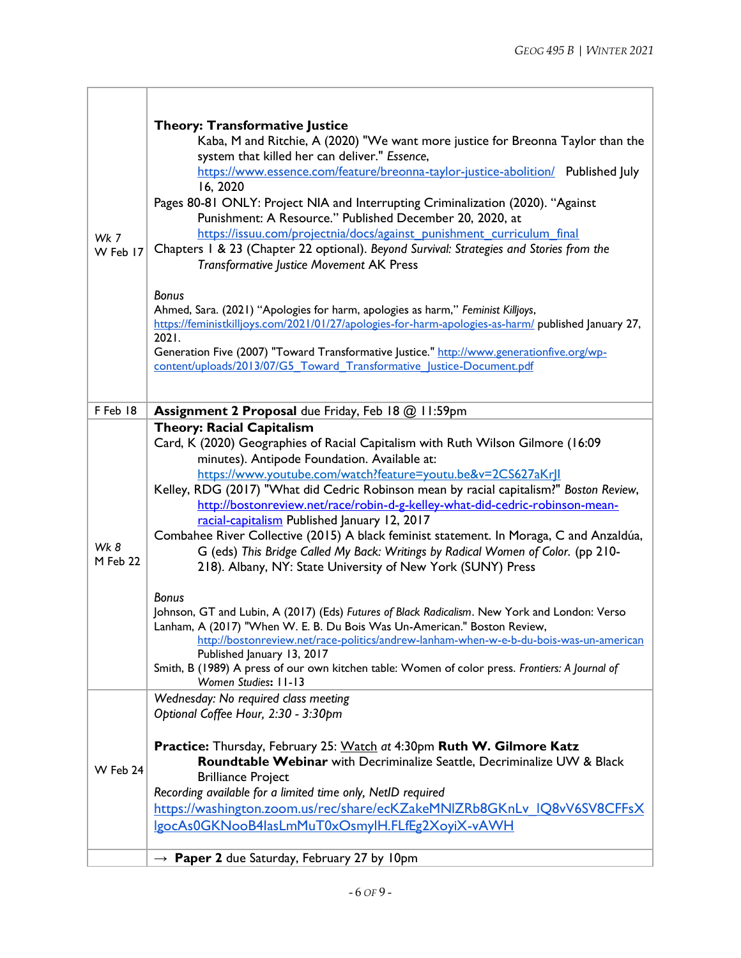$\overline{\phantom{0}}$ 

| Wk 7<br>W Feb 17 | <b>Theory: Transformative Justice</b><br>Kaba, M and Ritchie, A (2020) "We want more justice for Breonna Taylor than the<br>system that killed her can deliver." Essence,<br>https://www.essence.com/feature/breonna-taylor-justice-abolition/ Published July<br>16, 2020<br>Pages 80-81 ONLY: Project NIA and Interrupting Criminalization (2020). "Against<br>Punishment: A Resource." Published December 20, 2020, at<br>https://issuu.com/projectnia/docs/against punishment curriculum final<br>Chapters 1 & 23 (Chapter 22 optional). Beyond Survival: Strategies and Stories from the<br><b>Transformative Justice Movement AK Press</b><br><b>Bonus</b><br>Ahmed, Sara. (2021) "Apologies for harm, apologies as harm," Feminist Killjoys,                                                                                                                                                                                                                                                                                |
|------------------|-----------------------------------------------------------------------------------------------------------------------------------------------------------------------------------------------------------------------------------------------------------------------------------------------------------------------------------------------------------------------------------------------------------------------------------------------------------------------------------------------------------------------------------------------------------------------------------------------------------------------------------------------------------------------------------------------------------------------------------------------------------------------------------------------------------------------------------------------------------------------------------------------------------------------------------------------------------------------------------------------------------------------------------|
|                  | https://feministkilljoys.com/2021/01/27/apologies-for-harm-apologies-as-harm/ published January 27,<br>2021.<br>Generation Five (2007) "Toward Transformative Justice." http://www.generationfive.org/wp-<br>content/uploads/2013/07/G5 Toward Transformative Justice-Document.pdf                                                                                                                                                                                                                                                                                                                                                                                                                                                                                                                                                                                                                                                                                                                                                |
| F Feb 18         | Assignment 2 Proposal due Friday, Feb 18 @ 11:59pm                                                                                                                                                                                                                                                                                                                                                                                                                                                                                                                                                                                                                                                                                                                                                                                                                                                                                                                                                                                |
| Wk 8<br>M Feb 22 | <b>Theory: Racial Capitalism</b><br>Card, K (2020) Geographies of Racial Capitalism with Ruth Wilson Gilmore (16:09<br>minutes). Antipode Foundation. Available at:<br>https://www.youtube.com/watch?feature=youtu.be&v=2CS627aKrJI<br>Kelley, RDG (2017) "What did Cedric Robinson mean by racial capitalism?" Boston Review,<br>http://bostonreview.net/race/robin-d-g-kelley-what-did-cedric-robinson-mean-<br>racial-capitalism Published January 12, 2017<br>Combahee River Collective (2015) A black feminist statement. In Moraga, C and Anzaldúa,<br>G (eds) This Bridge Called My Back: Writings by Radical Women of Color. (pp 210-<br>218). Albany, NY: State University of New York (SUNY) Press<br><b>Bonus</b><br>Johnson, GT and Lubin, A (2017) (Eds) Futures of Black Radicalism. New York and London: Verso<br>Lanham, A (2017) "When W. E. B. Du Bois Was Un-American." Boston Review,<br>http://bostonreview.net/race-politics/andrew-lanham-when-w-e-b-du-bois-was-un-american<br>Published January 13, 2017 |
|                  | Smith, B (1989) A press of our own kitchen table: Women of color press. Frontiers: A Journal of<br>Women Studies: 11-13                                                                                                                                                                                                                                                                                                                                                                                                                                                                                                                                                                                                                                                                                                                                                                                                                                                                                                           |
| W Feb 24         | Wednesday: No required class meeting<br>Optional Coffee Hour, 2:30 - 3:30pm<br>Practice: Thursday, February 25: Watch at 4:30pm Ruth W. Gilmore Katz<br>Roundtable Webinar with Decriminalize Seattle, Decriminalize UW & Black<br><b>Brilliance Project</b><br>Recording available for a limited time only, NetID required<br>https://washington.zoom.us/rec/share/ecKZakeMNIZRb8GKnLv IQ8vV6SV8CFFsX                                                                                                                                                                                                                                                                                                                                                                                                                                                                                                                                                                                                                            |
|                  | IgocAs0GKNooB4lasLmMuT0xOsmyIH.FLfEg2XoyiX-vAWH                                                                                                                                                                                                                                                                                                                                                                                                                                                                                                                                                                                                                                                                                                                                                                                                                                                                                                                                                                                   |
|                  | Paper 2 due Saturday, February 27 by 10pm<br>$\rightarrow$                                                                                                                                                                                                                                                                                                                                                                                                                                                                                                                                                                                                                                                                                                                                                                                                                                                                                                                                                                        |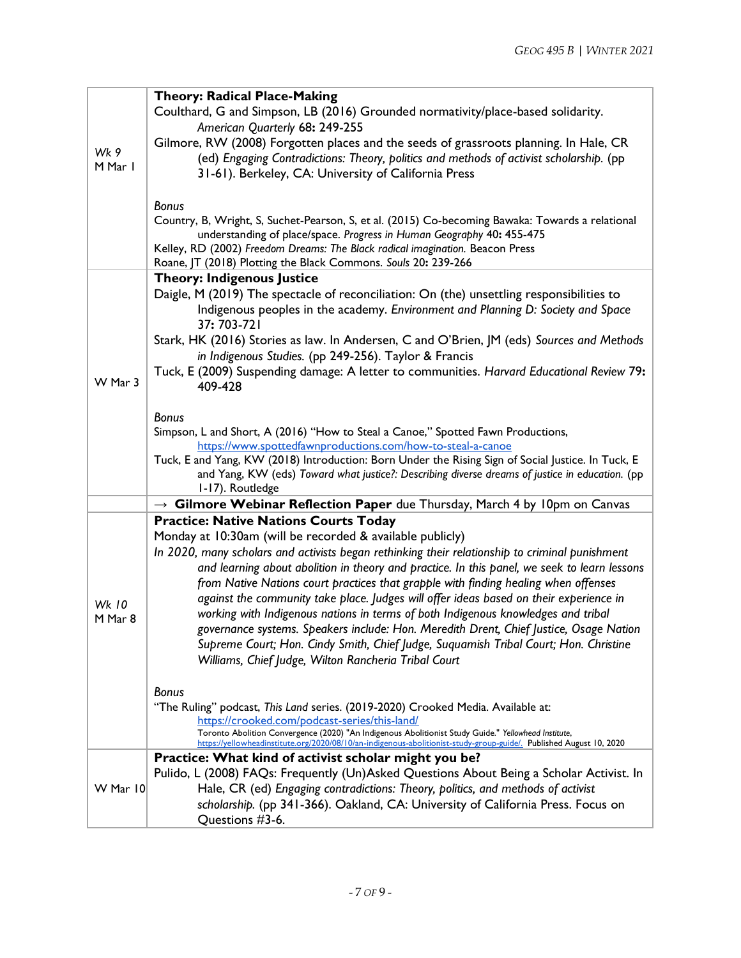|              | <b>Theory: Radical Place-Making</b>                                                                                                                               |
|--------------|-------------------------------------------------------------------------------------------------------------------------------------------------------------------|
|              | Coulthard, G and Simpson, LB (2016) Grounded normativity/place-based solidarity.                                                                                  |
|              | American Quarterly 68: 249-255                                                                                                                                    |
|              | Gilmore, RW (2008) Forgotten places and the seeds of grassroots planning. In Hale, CR                                                                             |
| Wk 9         | (ed) Engaging Contradictions: Theory, politics and methods of activist scholarship. (pp                                                                           |
| M Mar I      | 31-61). Berkeley, CA: University of California Press                                                                                                              |
|              |                                                                                                                                                                   |
|              | <b>Bonus</b>                                                                                                                                                      |
|              | Country, B, Wright, S, Suchet-Pearson, S, et al. (2015) Co-becoming Bawaka: Towards a relational                                                                  |
|              | understanding of place/space. Progress in Human Geography 40: 455-475                                                                                             |
|              | Kelley, RD (2002) Freedom Dreams: The Black radical imagination. Beacon Press                                                                                     |
|              | Roane, JT (2018) Plotting the Black Commons. Souls 20: 239-266                                                                                                    |
|              | <b>Theory: Indigenous Justice</b>                                                                                                                                 |
|              | Daigle, M (2019) The spectacle of reconciliation: On (the) unsettling responsibilities to                                                                         |
|              | Indigenous peoples in the academy. Environment and Planning D: Society and Space                                                                                  |
|              | 37: 703-721                                                                                                                                                       |
|              | Stark, HK (2016) Stories as law. In Andersen, C and O'Brien, JM (eds) Sources and Methods                                                                         |
|              | in Indigenous Studies. (pp 249-256). Taylor & Francis                                                                                                             |
| W Mar 3      | Tuck, E (2009) Suspending damage: A letter to communities. Harvard Educational Review 79:                                                                         |
|              | 409-428                                                                                                                                                           |
|              |                                                                                                                                                                   |
|              | <b>Bonus</b>                                                                                                                                                      |
|              | Simpson, L and Short, A (2016) "How to Steal a Canoe," Spotted Fawn Productions,                                                                                  |
|              | https://www.spottedfawnproductions.com/how-to-steal-a-canoe<br>Tuck, E and Yang, KW (2018) Introduction: Born Under the Rising Sign of Social Justice. In Tuck, E |
|              | and Yang, KW (eds) Toward what justice?: Describing diverse dreams of justice in education. (pp                                                                   |
|              | 1-17). Routledge                                                                                                                                                  |
|              | $\rightarrow$ Gilmore Webinar Reflection Paper due Thursday, March 4 by 10pm on Canvas                                                                            |
|              | <b>Practice: Native Nations Courts Today</b>                                                                                                                      |
|              | Monday at 10:30am (will be recorded & available publicly)                                                                                                         |
|              | In 2020, many scholars and activists began rethinking their relationship to criminal punishment                                                                   |
|              | and learning about abolition in theory and practice. In this panel, we seek to learn lessons                                                                      |
|              | from Native Nations court practices that grapple with finding healing when offenses                                                                               |
| <b>Wk 10</b> | against the community take place. Judges will offer ideas based on their experience in                                                                            |
| M Mar 8      | working with Indigenous nations in terms of both Indigenous knowledges and tribal                                                                                 |
|              | governance systems. Speakers include: Hon. Meredith Drent, Chief Justice, Osage Nation                                                                            |
|              | Supreme Court; Hon. Cindy Smith, Chief Judge, Suquamish Tribal Court; Hon. Christine                                                                              |
|              | Williams, Chief Judge, Wilton Rancheria Tribal Court                                                                                                              |
|              |                                                                                                                                                                   |
|              | <b>Bonus</b>                                                                                                                                                      |
|              | "The Ruling" podcast, This Land series. (2019-2020) Crooked Media. Available at:                                                                                  |
|              | https://crooked.com/podcast-series/this-land/<br>Toronto Abolition Convergence (2020) "An Indigenous Abolitionist Study Guide." Yellowhead Institute,             |
|              | https://yellowheadinstitute.org/2020/08/10/an-indigenous-abolitionist-study-group-guide/. Published August 10, 2020                                               |
|              | Practice: What kind of activist scholar might you be?                                                                                                             |
|              | Pulido, L (2008) FAQs: Frequently (Un)Asked Questions About Being a Scholar Activist. In                                                                          |
| W Mar 10     | Hale, CR (ed) Engaging contradictions: Theory, politics, and methods of activist                                                                                  |
|              | scholarship. (pp 341-366). Oakland, CA: University of California Press. Focus on                                                                                  |
|              | Questions #3-6.                                                                                                                                                   |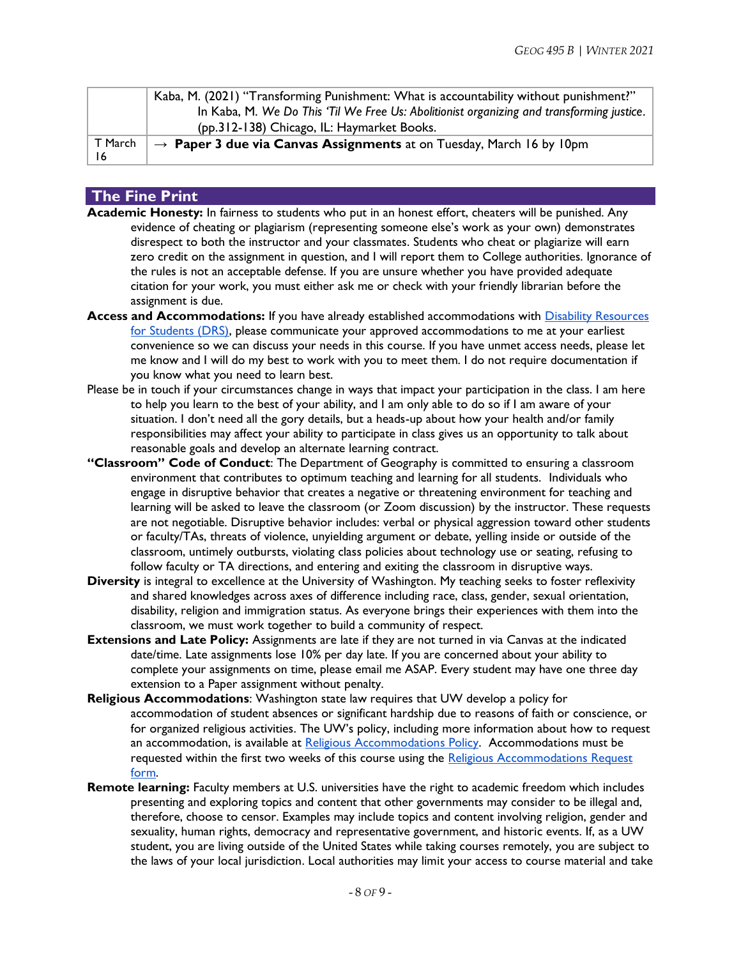|         | Kaba, M. (2021) "Transforming Punishment: What is accountability without punishment?"     |
|---------|-------------------------------------------------------------------------------------------|
|         | In Kaba, M. We Do This 'Til We Free Us: Abolitionist organizing and transforming justice. |
|         | (pp.312-138) Chicago, IL: Haymarket Books.                                                |
| T March | $\rightarrow$ Paper 3 due via Canvas Assignments at on Tuesday, March 16 by 10pm          |
| 16      |                                                                                           |

## **The Fine Print**

- **Academic Honesty:** In fairness to students who put in an honest effort, cheaters will be punished. Any evidence of cheating or plagiarism (representing someone else's work as your own) demonstrates disrespect to both the instructor and your classmates. Students who cheat or plagiarize will earn zero credit on the assignment in question, and I will report them to College authorities. Ignorance of the rules is not an acceptable defense. If you are unsure whether you have provided adequate citation for your work, you must either ask me or check with your friendly librarian before the assignment is due.
- **Access and Accommodations:** If you have already established accommodations wit[h](https://depts.washington.edu/uwdrs/) [Disability Resources](https://depts.washington.edu/uwdrs/)  [for Students \(DRS\),](https://depts.washington.edu/uwdrs/) please communicate your approved accommodations to me at your earliest convenience so we can discuss your needs in this course. If you have unmet access needs, please let me know and I will do my best to work with you to meet them. I do not require documentation if you know what you need to learn best.
- Please be in touch if your circumstances change in ways that impact your participation in the class. I am here to help you learn to the best of your ability, and I am only able to do so if I am aware of your situation. I don't need all the gory details, but a heads-up about how your health and/or family responsibilities may affect your ability to participate in class gives us an opportunity to talk about reasonable goals and develop an alternate learning contract.
- **"Classroom" Code of Conduct**: The Department of Geography is committed to ensuring a classroom environment that contributes to optimum teaching and learning for all students. Individuals who engage in disruptive behavior that creates a negative or threatening environment for teaching and learning will be asked to leave the classroom (or Zoom discussion) by the instructor. These requests are not negotiable. Disruptive behavior includes: verbal or physical aggression toward other students or faculty/TAs, threats of violence, unyielding argument or debate, yelling inside or outside of the classroom, untimely outbursts, violating class policies about technology use or seating, refusing to follow faculty or TA directions, and entering and exiting the classroom in disruptive ways.
- **Diversity** is integral to excellence at the University of Washington. My teaching seeks to foster reflexivity and shared knowledges across axes of difference including race, class, gender, sexual orientation, disability, religion and immigration status. As everyone brings their experiences with them into the classroom, we must work together to build a community of respect.
- **Extensions and Late Policy:** Assignments are late if they are not turned in via Canvas at the indicated date/time. Late assignments lose 10% per day late. If you are concerned about your ability to complete your assignments on time, please email me ASAP. Every student may have one three day extension to a Paper assignment without penalty.
- **Religious Accommodations**: Washington state law requires that UW develop a policy for accommodation of student absences or significant hardship due to reasons of faith or conscience, or for organized religious activities. The UW's policy, including more information about how to request an accommodation, is available at [Religious Accommodations Policy.](https://registrar.washington.edu/staffandfaculty/religious-accommodations-policy/) Accommodations must be requested within the first two weeks of this course using the Religious Accommodations Request [form.](https://registrar.washington.edu/students/religious-accommodations-request/)
- **Remote learning:** Faculty members at U.S. universities have the right to academic freedom which includes presenting and exploring topics and content that other governments may consider to be illegal and, therefore, choose to censor. Examples may include topics and content involving religion, gender and sexuality, human rights, democracy and representative government, and historic events. If, as a UW student, you are living outside of the United States while taking courses remotely, you are subject to the laws of your local jurisdiction. Local authorities may limit your access to course material and take